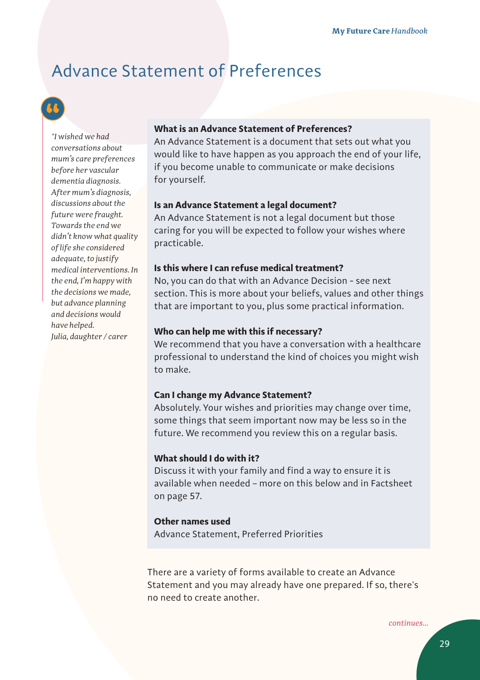# Advance Statement of Preferences

*"I wished we had conversations about mum's care preferences before her vascular dementia diagnosis. After mum's diagnosis, discussions about the future were fraught. Towards the end we didn't know what quality of life she considered adequate, to justify medical interventions. In the end, I'm happy with the decisions we made, but advance planning and decisions would have helped. Julia, daughter / carer*

# **What is an Advance Statement of Preferences?**

An Advance Statement is a document that sets out what you would like to have happen as you approach the end of your life, if you become unable to communicate or make decisions for yourself.

#### **Is an Advance Statement a legal document?**

An Advance Statement is not a legal document but those caring for you will be expected to follow your wishes where practicable.

#### **Is this where I can refuse medical treatment?**

No, you can do that with an Advance Decision - see next section. This is more about your beliefs, values and other things that are important to you, plus some practical information.

# **Who can help me with this if necessary?**

We recommend that you have a conversation with a healthcare professional to understand the kind of choices you might wish to make.

# **Can I change my Advance Statement?**

Absolutely. Your wishes and priorities may change over time, some things that seem important now may be less so in the future. We recommend you review this on a regular basis.

## **What should I do with it?**

Discuss it with your family and find a way to ensure it is available when needed – more on this below and in Factsheet on page 57.

## **Other names used**

Advance Statement, Preferred Priorities

There are a variety of forms available to create an Advance Statement and you may already have one prepared. If so, there's no need to create another.

*continues...*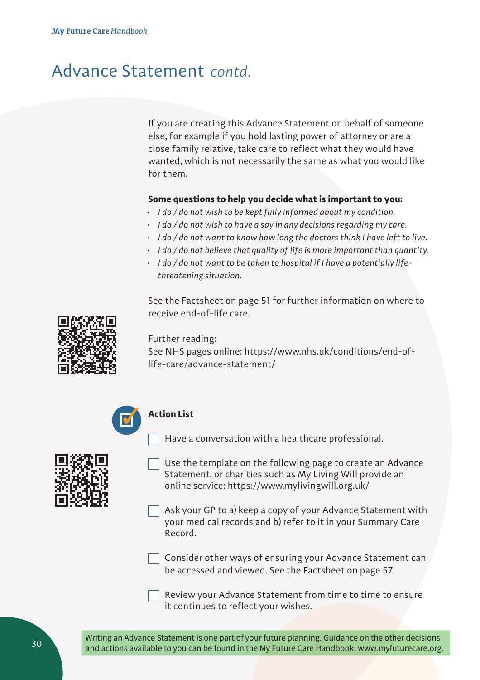# Advance Statement *contd.*

If you are creating this Advance Statement on behalf of someone else, for example if you hold lasting power of attorney or are a close family relative, take care to reflect what they would have wanted, which is not necessarily the same as what you would like for them.

# **Some questions to help you decide what is important to you:**

- *• I do / do not wish to be kept fully informed about my condition.*
- *• I do / do not wish to have a say in any decisions regarding my care.*
- *• I do / do not want to know how long the doctors think I have left to live.*
- *• I do / do not believe that quality of life is more important than quantity.*
- *• I do / do not want to be taken to hospital if I have a potentially lifethreatening situation.*

See the Factsheet on page 51 for further information on where to receive end-of-life care.



Further reading:

See NHS pages online: https://www.nhs.uk/conditions/end-oflife-care/advance-statement/

Have a conversation with a healthcare professional.



#### **Action List**

- 
- Use the template on the following page to create an Advance Statement, or charities such as My Living Will provide an online service: https://www.mylivingwill.org.uk/

Ask your GP to a) keep a copy of your Advance Statement with your medical records and b) refer to it in your Summary Care Record.



Consider other ways of ensuring your Advance Statement can be accessed and viewed. See the Factsheet on page 57.

Review your Advance Statement from time to time to ensure it continues to reflect your wishes.

Writing an Advance Statement is one part of your future planning. Guidance on the other decisions and actions available to you can be found in the My Future Care Handbook: www.myfuturecare.org.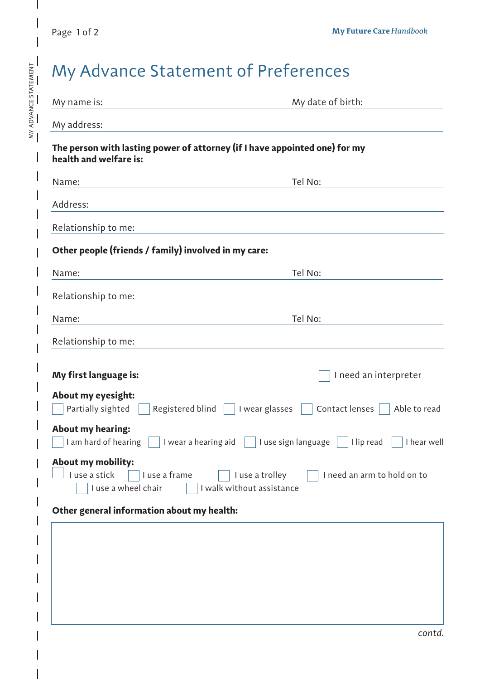MY ADVANCE STATEMENT

 $\frac{MY \text{ ADVANCE STATEMENT}}{T}$ 

I

| My name is:                                                                                          | My date of birth:                                                           |
|------------------------------------------------------------------------------------------------------|-----------------------------------------------------------------------------|
| My address:                                                                                          |                                                                             |
| The person with lasting power of attorney (if I have appointed one) for my<br>health and welfare is: |                                                                             |
| Name:                                                                                                | Tel No:                                                                     |
| Address:                                                                                             |                                                                             |
| Relationship to me:                                                                                  |                                                                             |
| Other people (friends / family) involved in my care:                                                 |                                                                             |
| Name:                                                                                                | Tel No:                                                                     |
| Relationship to me:                                                                                  |                                                                             |
| Name:                                                                                                | Tel No:                                                                     |
| Relationship to me:                                                                                  |                                                                             |
| My first language is:                                                                                | I need an interpreter                                                       |
| About my eyesight:                                                                                   |                                                                             |
| Partially sighted $\Box$ Registered blind $\Box$ I wear glasses $\Box$                               | Contact lenses $\Box$ Able to read                                          |
| <b>About my hearing:</b><br>I am hard of hearing<br>I wear a hearing aid                             | I use sign language<br>I lip read<br>I hear well                            |
| <b>About my mobility:</b><br>I use a stick<br>I use a frame<br>I use a wheel chair                   | I use a trolley<br>I need an arm to hold on to<br>I walk without assistance |
| Other general information about my health:                                                           |                                                                             |
|                                                                                                      |                                                                             |
|                                                                                                      |                                                                             |
|                                                                                                      |                                                                             |
|                                                                                                      |                                                                             |
|                                                                                                      |                                                                             |